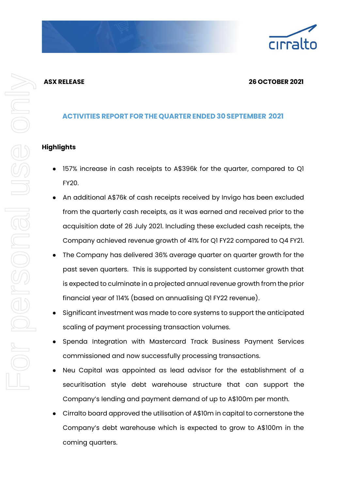# **ASX RELEASE 26 OCTOBER 2021**

# **ACTIVITIES REPORT FORTHE QUARTER ENDED 30SEPTEMBER 2021**

# **Highlights**

- 157% increase in cash receipts to A\$396k for the quarter, compared to Q1 FY20.
- An additional A\$76k of cash receipts received by Invigo has been excluded from the quarterly cash receipts, as it was earned and received prior to the acquisition date of 26 July 2021. Including these excluded cash receipts, the Company achieved revenue growth of 41% for Q1 FY22 compared to Q4 FY21.
- The Company has delivered 36% average quarter on quarter growth for the past seven quarters. This is supported by consistent customer growth that is expected to culminate in a projected annual revenue growth from the prior financial year of 114% (based on annualising Q1 FY22 revenue).
- Significant investment was made to core systems to support the anticipated scaling of payment processing transaction volumes.
- Spenda Integration with Mastercard Track Business Payment Services commissioned and now successfully processing transactions.
- Neu Capital was appointed as lead advisor for the establishment of a securitisation style debt warehouse structure that can support the Company's lending and payment demand of up to A\$100m per month.
- Cirralto board approved the utilisation of A\$10m in capital to cornerstone the Company's debt warehouse which is expected to grow to A\$100m in the coming quarters.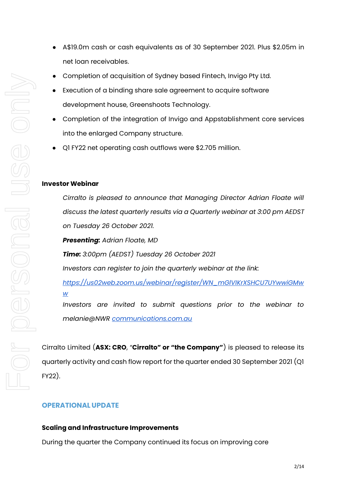- A\$19.0m cash or cash equivalents as of 30 September 2021. Plus \$2.05m in net loan receivables.
- Completion of acquisition of Sydney based Fintech, Invigo Pty Ltd.
- Execution of a binding share sale agreement to acquire software development house, Greenshoots Technology.
- Completion of the integration of Invigo and Appstablishment core services into the enlarged Company structure.
- Q1 FY22 net operating cash outflows were \$2.705 million.

## **Investor Webinar**

*Cirralto is pleased to announce that Managing Director Adrian Floate will discuss the latest quarterly results via a Quarterly webinar at 3:00 pm AEDST on Tuesday 26 October 2021. Presenting: Adrian Floate, MD Time: 3:00pm (AEDST) Tuesday 26 October 2021 Investors can register to join the quarterly webinar at the link: [https://us02web.zoom.us/webinar/register/WN\\_mGlVIKrXSHCU7UYwwiGMw](https://us02web.zoom.us/webinar/register/WN_mGlVIKrXSHCU7UYwwiGMww) [w](https://us02web.zoom.us/webinar/register/WN_mGlVIKrXSHCU7UYwwiGMww) Investors are invited to submit questions prior to the webinar to* 

*melanie@NWR [communications.com.au](http://communications.com.au/)*

Cirralto Limited (**ASX: CRO**, "**Cirralto" or "the Company"**) is pleased to release its quarterly activity and cash flow report for the quarter ended 30 September 2021 (Q1 FY22).

# **OPERATIONAL UPDATE**

## **Scaling and Infrastructure Improvements**

During the quarter the Company continued its focus on improving core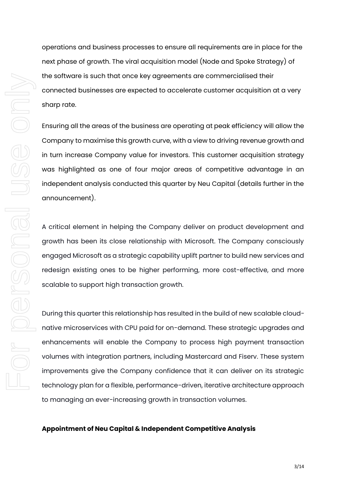operations and business processes to ensure all requirements are in place for the next phase of growth. The viral acquisition model (Node and Spoke Strategy) of the software is such that once key agreements are commercialised their connected businesses are expected to accelerate customer acquisition at a very sharp rate.

Ensuring all the areas of the business are operating at peak efficiency will allow the Company to maximise this growth curve, with a view to driving revenue growth and in turn increase Company value for investors. This customer acquisition strategy was highlighted as one of four major areas of competitive advantage in an independent analysis conducted this quarter by Neu Capital (details further in the announcement).

A critical element in helping the Company deliver on product development and growth has been its close relationship with Microsoft. The Company consciously engaged Microsoft as a strategic capability uplift partner to build new services and redesign existing ones to be higher performing, more cost-effective, and more scalable to support high transaction growth.

During this quarter this relationship has resulted in the build of new scalable cloudnative microservices with CPU paid for on-demand. These strategic upgrades and enhancements will enable the Company to process high payment transaction volumes with integration partners, including Mastercard and Fiserv. These system improvements give the Company confidence that it can deliver on its strategic technology plan for a flexible, performance-driven, iterative architecture approach to managing an ever-increasing growth in transaction volumes.

## **Appointment of Neu Capital & Independent Competitive Analysis**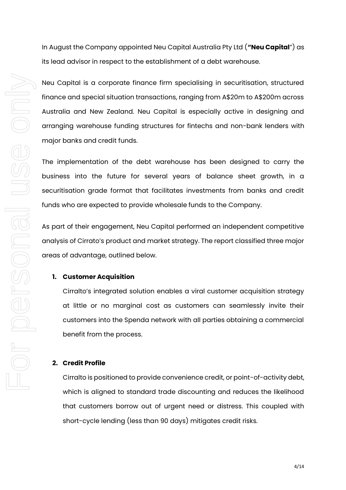In August the Company appointed Neu Capital Australia Pty Ltd (**"Neu Capital**") as its lead advisor in respect to the establishment of a debt warehouse.

Neu Capital is a corporate finance firm specialising in securitisation, structured finance and special situation transactions, ranging from A\$20m to A\$200m across Australia and New Zealand. Neu Capital is especially active in designing and arranging warehouse funding structures for fintechs and non-bank lenders with major banks and credit funds.

The implementation of the debt warehouse has been designed to carry the business into the future for several years of balance sheet growth, in a securitisation grade format that facilitates investments from banks and credit funds who are expected to provide wholesale funds to the Company.

As part of their engagement, Neu Capital performed an independent competitive analysis of Cirrato's product and market strategy. The report classified three major areas of advantage, outlined below.

#### **1. Customer Acquisition**

Cirralto's integrated solution enables a viral customer acquisition strategy at little or no marginal cost as customers can seamlessly invite their customers into the Spenda network with all parties obtaining a commercial benefit from the process.

#### **2. Credit Profile**

Cirralto is positioned to provide convenience credit, or point-of-activity debt, which is aligned to standard trade discounting and reduces the likelihood that customers borrow out of urgent need or distress. This coupled with short-cycle lending (less than 90 days) mitigates credit risks.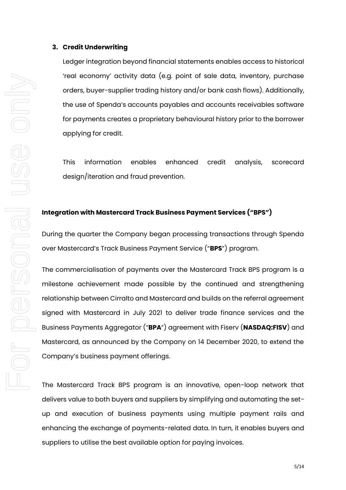#### **3. Credit Underwriting**

Ledger integration beyond financial statements enables access to historical 'real economy' activity data (e.g. point of sale data, inventory, purchase orders, buyer-supplier trading history and/or bank cash flows). Additionally, the use of Spenda's accounts payables and accounts receivables software for payments creates a proprietary behavioural history prior to the borrower applying for credit.

This information enables enhanced credit analysis, scorecard design/iteration and fraud prevention.

# **Integration with Mastercard Track Business Payment Services ("BPS")**

During the quarter the Company began processing transactions through Spenda over Mastercard's Track Business Payment Service ("**BPS**") program.

The commercialisation of payments over the Mastercard Track BPS program is a milestone achievement made possible by the continued and strengthening relationship between Cirralto and Mastercard and builds on the referral agreement signed with Mastercard in July 2021 to deliver trade finance services and the Business Payments Aggregator ("**BPA**") agreement with Fiserv (**NASDAQ:FISV**) and Mastercard, as announced by the Company on 14 December 2020, to extend the Company's business payment offerings.

The Mastercard Track BPS program is an innovative, open-loop network that delivers value to both buyers and suppliers by simplifying and automating the setup and execution of business payments using multiple payment rails and enhancing the exchange of payments-related data. In turn, it enables buyers and suppliers to utilise the best available option for paying invoices.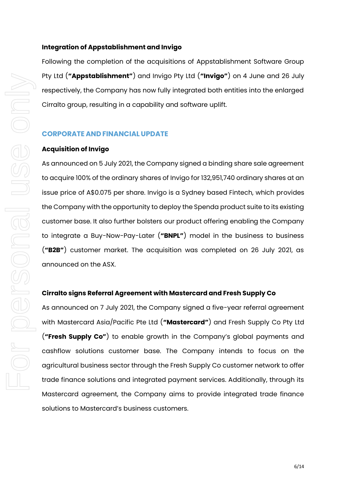### **Integration of Appstablishment and Invigo**

Following the completion of the acquisitions of Appstablishment Software Group Pty Ltd (**"Appstablishment"**) and Invigo Pty Ltd (**"Invigo"**) on 4 June and 26 July respectively, the Company has now fully integrated both entities into the enlarged Cirralto group, resulting in a capability and software uplift.

## **CORPORATE AND FINANCIAL UPDATE**

#### **Acquisition of Invigo**

As announced on 5 July 2021, the Company signed a binding share sale agreement to acquire 100% of the ordinary shares of Invigo for 132,951,740 ordinary shares at an issue price of A\$0.075 per share. Invigo is a Sydney based Fintech, which provides the Company with the opportunity to deploy the Spenda product suite to its existing customer base. It also further bolsters our product offering enabling the Company to integrate a Buy-Now-Pay-Later (**"BNPL"**) model in the business to business (**"B2B"**) customer market. The acquisition was completed on 26 July 2021, as announced on the ASX.

#### **Cirralto signs Referral Agreement with Mastercard and Fresh Supply Co**

As announced on 7 July 2021, the Company signed a five-year referral agreement with Mastercard Asia/Pacific Pte Ltd (**"Mastercard"**) and Fresh Supply Co Pty Ltd (**"Fresh Supply Co"**) to enable growth in the Company's global payments and cashflow solutions customer base. The Company intends to focus on the agricultural business sector through the Fresh Supply Co customer network to offer trade finance solutions and integrated payment services. Additionally, through its Mastercard agreement, the Company aims to provide integrated trade finance solutions to Mastercard's business customers.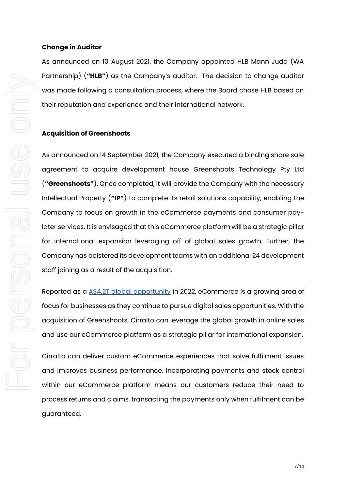## **Change in Auditor**

As announced on 10 August 2021, the Company appointed HLB Mann Judd (WA Partnership) (**"HLB"**) as the Company's auditor. The decision to change auditor was made following a consultation process, where the Board chose HLB based on their reputation and experience and their international network.

## **Acquisition of Greenshoots**

As announced on 14 September 2021, the Company executed a binding share sale agreement to acquire development house Greenshoots Technology Pty Ltd (**"Greenshoots"**). Once completed, it will provide the Company with the necessary Intellectual Property (**"IP"**) to complete its retail solutions capability, enabling the Company to focus on growth in the eCommerce payments and consumer paylater services. It is envisaged that this eCommerce platform will be a strategic pillar for international expansion leveraging off of global sales growth. Further, the Company has bolstered its development teams with an additional 24 development staff joining as a result of the acquisition.

Reported as a [A\\$4.2T global opportunity](https://business.adobe.com/au/resources/digital-economy-index.html) in 2022, eCommerce is a growing area of focus for businesses as they continue to pursue digital sales opportunities. With the acquisition of Greenshoots, Cirralto can leverage the global growth in online sales and use our eCommerce platform as a strategic pillar for international expansion.

Cirralto can deliver custom eCommerce experiences that solve fulfilment issues and improves business performance. Incorporating payments and stock control within our eCommerce platform means our customers reduce their need to process returns and claims, transacting the payments only when fulfilment can be guaranteed.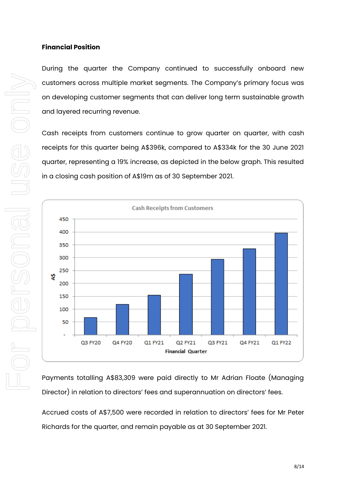## **Financial Position**

During the quarter the Company continued to successfully onboard new customers across multiple market segments. The Company's primary focus was on developing customer segments that can deliver long term sustainable growth and layered recurring revenue.

Cash receipts from customers continue to grow quarter on quarter, with cash receipts for this quarter being A\$396k, compared to A\$334k for the 30 June 2021 quarter, representing a 19% increase, as depicted in the below graph. This resulted in a closing cash position of A\$19m as of 30 September 2021.



Payments totalling A\$83,309 were paid directly to Mr Adrian Floate (Managing Director) in relation to directors' fees and superannuation on directors' fees.

Accrued costs of A\$7,500 were recorded in relation to directors' fees for Mr Peter Richards for the quarter, and remain payable as at 30 September 2021.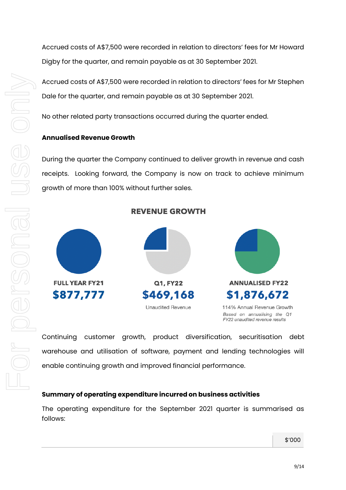Accrued costs of A\$7,500 were recorded in relation to directors' fees for Mr Howard Digby for the quarter, and remain payable as at 30 September 2021.

Accrued costs of A\$7,500 were recorded in relation to directors' fees for Mr Stephen Dale for the quarter, and remain payable as at 30 September 2021.

No other related party transactions occurred during the quarter ended.

# **Annualised Revenue Growth**

During the quarter the Company continued to deliver growth in revenue and cash receipts. Looking forward, the Company is now on track to achieve minimum growth of more than 100% without further sales.

**REVENUE GROWTH** 



Continuing customer growth, product diversification, securitisation debt warehouse and utilisation of software, payment and lending technologies will enable continuing growth and improved financial performance.

# **Summary of operating expenditure incurred on business activities**

The operating expenditure for the September 2021 quarter is summarised as follows:

\$'000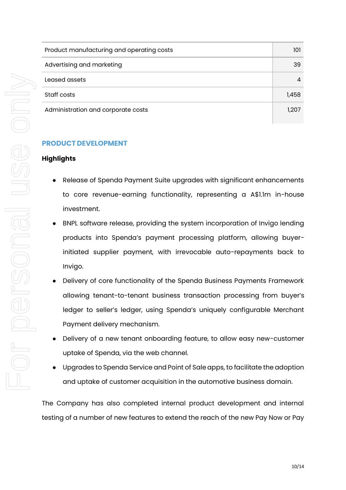| Product manufacturing and operating costs | 101   |
|-------------------------------------------|-------|
| Advertising and marketing                 | 39    |
| Leased assets                             |       |
| Staff costs                               | 1.458 |
| Administration and corporate costs        | 1.207 |

# **PRODUCT DEVELOPMENT**

## **Highlights**

- Release of Spenda Payment Suite upgrades with significant enhancements to core revenue-earning functionality, representing a A\$1.1m in-house investment.
- BNPL software release, providing the system incorporation of Invigo lending products into Spenda's payment processing platform, allowing buyerinitiated supplier payment, with irrevocable auto-repayments back to Invigo.
- Delivery of core functionality of the Spenda Business Payments Framework allowing tenant-to-tenant business transaction processing from buyer's ledger to seller's ledger, using Spenda's uniquely configurable Merchant Payment delivery mechanism.
- Delivery of a new tenant onboarding feature, to allow easy new-customer uptake of Spenda, via the web channel.
- Upgrades to Spenda Service and Point of Sale apps, to facilitate the adoption and uptake of customer acquisition in the automotive business domain.

The Company has also completed internal product development and internal testing of a number of new features to extend the reach of the new Pay Now or Pay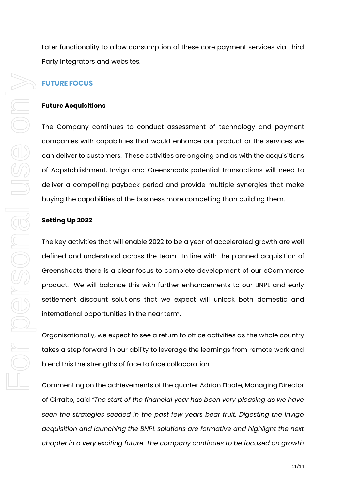Later functionality to allow consumption of these core payment services via Third Party Integrators and websites.

# **FUTURE FOCUS**

#### **Future Acquisitions**

The Company continues to conduct assessment of technology and payment companies with capabilities that would enhance our product or the services we can deliver to customers. These activities are ongoing and as with the acquisitions of Appstablishment, Invigo and Greenshoots potential transactions will need to deliver a compelling payback period and provide multiple synergies that make buying the capabilities of the business more compelling than building them.

#### **Setting Up 2022**

The key activities that will enable 2022 to be a year of accelerated growth are well defined and understood across the team. In line with the planned acquisition of Greenshoots there is a clear focus to complete development of our eCommerce product. We will balance this with further enhancements to our BNPL and early settlement discount solutions that we expect will unlock both domestic and international opportunities in the near term.

Organisationally, we expect to see a return to office activities as the whole country takes a step forward in our ability to leverage the learnings from remote work and blend this the strengths of face to face collaboration.

Commenting on the achievements of the quarter Adrian Floate, Managing Director of Cirralto, said *"The start of the financial year has been very pleasing as we have seen the strategies seeded in the past few years bear fruit. Digesting the Invigo acquisition and launching the BNPL solutions are formative and highlight the next chapter in a very exciting future. The company continues to be focused on growth*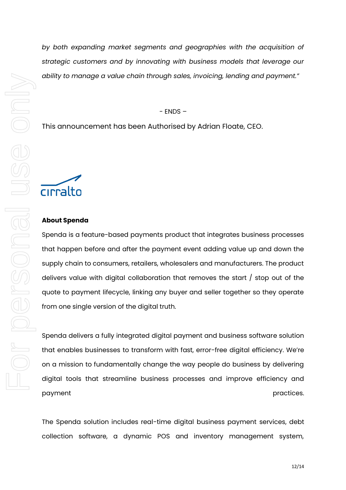*by both expanding market segments and geographies with the acquisition of strategic customers and by innovating with business models that leverage our ability to manage a value chain through sales, invoicing, lending and payment."* 

#### $-$  ENDS  $-$

This announcement has been Authorised by Adrian Floate, CEO.

# cirralto

#### **About Spenda**

Spenda is a feature-based payments product that integrates business processes that happen before and after the payment event adding value up and down the supply chain to consumers, retailers, wholesalers and manufacturers. The product delivers value with digital collaboration that removes the start / stop out of the quote to payment lifecycle, linking any buyer and seller together so they operate from one single version of the digital truth.

Spenda delivers a fully integrated digital payment and business software solution that enables businesses to transform with fast, error-free digital efficiency. We're on a mission to fundamentally change the way people do business by delivering digital tools that streamline business processes and improve efficiency and payment **payment payment** 

The Spenda solution includes real-time digital business payment services, debt collection software, a dynamic POS and inventory management system,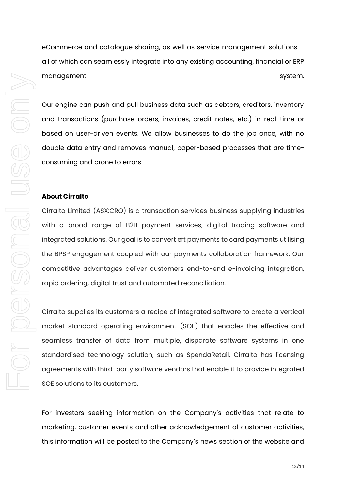eCommerce and catalogue sharing, as well as service management solutions – all of which can seamlessly integrate into any existing accounting, financial or ERP management system.

Our engine can push and pull business data such as debtors, creditors, inventory and transactions (purchase orders, invoices, credit notes, etc.) in real-time or based on user-driven events. We allow businesses to do the job once, with no double data entry and removes manual, paper-based processes that are timeconsuming and prone to errors.

#### **About Cirralto**

Cirralto Limited (ASX:CRO) is a transaction services business supplying industries with a broad range of B2B payment services, digital trading software and integrated solutions. Our goal is to convert eft payments to card payments utilising the BPSP engagement coupled with our payments collaboration framework. Our competitive advantages deliver customers end-to-end e-invoicing integration, rapid ordering, digital trust and automated reconciliation.

Cirralto supplies its customers a recipe of integrated software to create a vertical market standard operating environment (SOE) that enables the effective and seamless transfer of data from multiple, disparate software systems in one standardised technology solution, such as SpendaRetail. Cirralto has licensing agreements with third-party software vendors that enable it to provide integrated SOE solutions to its customers.

For investors seeking information on the Company's activities that relate to marketing, customer events and other acknowledgement of customer activities, this information will be posted to the Company's news section of the website and